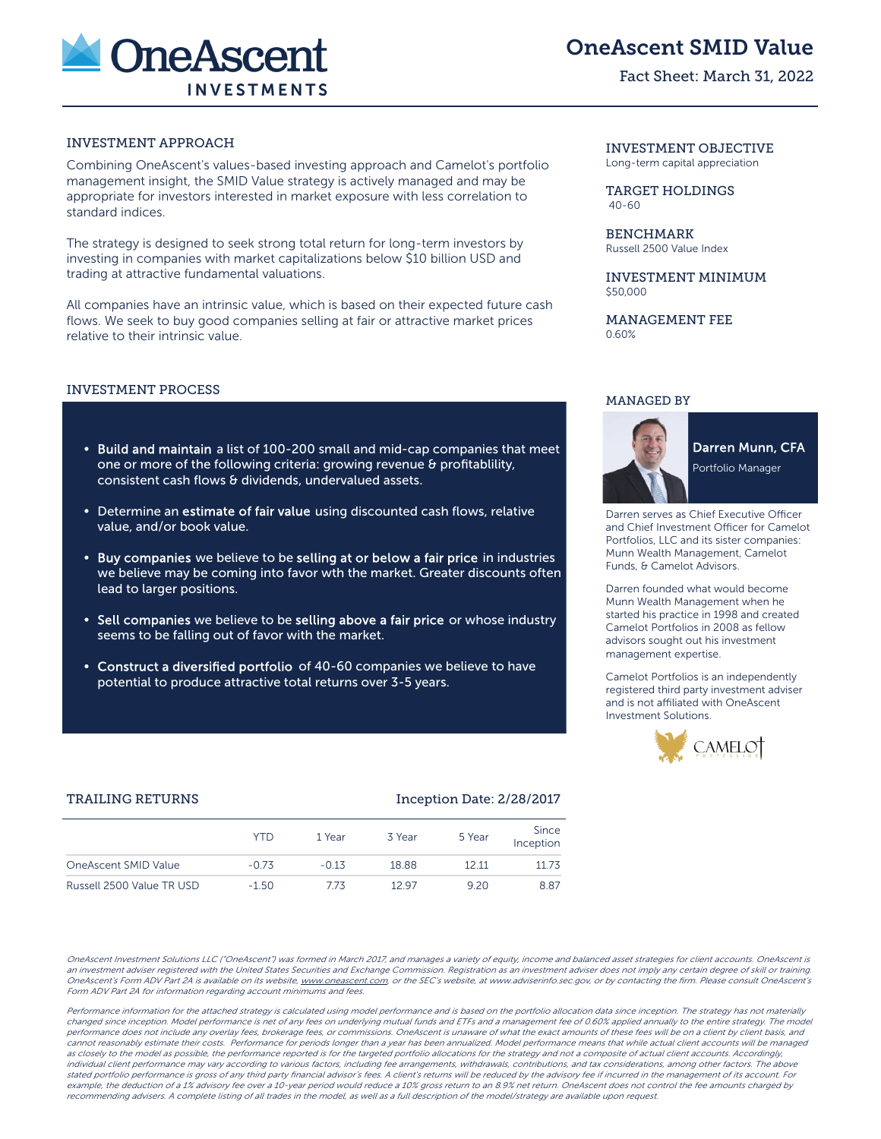

## OneAscent SMID Value

### Fact Sheet: March 31, 2022

## INVESTMENT APPROACH INVESTMENT OBJECTIVE

Combining OneAscent's values-based investing approach and Camelot's portfolio management insight, the SMID Value strategy is actively managed and may be appropriate for investors interested in market exposure with less correlation to standard indices.

The strategy is designed to seek strong total return for long-term investors by investing in companies with market capitalizations below \$10 billion USD and trading at attractive fundamental valuations.

All companies have an intrinsic value, which is based on their expected future cash flows. We seek to buy good companies selling at fair or attractive market prices relative to their intrinsic value.

### INVESTMENT PROCESS

- Build and maintain a list of 100-200 small and mid-cap companies that meet one or more of the following criteria: growing revenue & profitablility, consistent cash flows & dividends, undervalued assets.
- Determine an estimate of fair value using discounted cash flows, relative value, and/or book value.
- Buy companies we believe to be selling at or below a fair price in industries we believe may be coming into favor wth the market. Greater discounts often lead to larger positions.
- Sell companies we believe to be selling above a fair price or whose industry seems to be falling out of favor with the market.
- Construct a diversified portfolio of 40-60 companies we believe to have potential to produce attractive total returns over 3-5 years.

# Long-term capital appreciation

TARGET HOLDINGS 40-60

**BENCHMARK** Russell 2500 Value Index

INVESTMENT MINIMUM \$50,000

MANAGEMENT FEE 0.60%

### MANAGED BY



**Darren Munn, CFA** Portfolio Manager

Darren serves as Chief Executive Officer and Chief Investment Officer for Camelot Portfolios, LLC and its sister companies: Munn Wealth Management, Camelot Funds, & Camelot Advisors.

Darren founded what would become Munn Wealth Management when he started his practice in 1998 and created Camelot Portfolios in 2008 as fellow advisors sought out his investment management expertise.

Camelot Portfolios is an independently registered third party investment adviser and is not affiliated with OneAscent Investment Solutions.



### TRAILING RETURNS **Inception Date: 2/28/2017**

|                           | YTD     | 1 Year  | 3 Year | 5 Year | Since<br>Inception |
|---------------------------|---------|---------|--------|--------|--------------------|
| OneAscent SMID Value      | $-0.73$ | $-0.13$ | 18.88  | 12 11  | 11.73              |
| Russell 2500 Value TR USD | $-1.50$ | 773     | 1297   | 9.20   | 8.87               |

OneAscent Investment Solutions LLC ("OneAscent") was formed in March 2017, and manages a variety of equity, income and balanced asset strategies for client accounts. OneAscent is an investment adviser registered with the United States Securities and Exchange Commission. Registration as an investment adviser does not imply any certain degree of skill or training. OneAscent's Form ADV Part 2A is available on its website, www.oneascent.com or the SEC's website, at www.adviserinfo.sec.gov, or by contacting the firm. Please consult OneAscent's Form ADV Part 2A for information regarding account minimums and fees.

Performance information for the attached strategy is calculated using model performance and is based on the portfolio allocation data since inception. The strategy has not materially changed since inception. Model performance is net of any fees on underlying mutual funds and ETFs and a management fee of 0.60% applied annually to the entire strategy. The model performance does not include any overlay fees, brokerage fees, or commissions. OneAscent is unaware of what the exact amounts of these fees will be on a client by client basis, and cannot reasonably estimate their costs. Performance for periods longer than a year has been annualized. Model performance means that while actual client accounts will be managed as closely to the model as possible, the performance reported is for the targeted portfolio allocations for the strategy and not a composite of actual client accounts. Accordingly, individual client performance may vary according to various factors, including fee arrangements, withdrawals, contributions, and tax considerations, among other factors. The above stated portfolio performance is gross of any third party financial advisor's fees. A client's returns will be reduced by the advisory fee if incurred in the management of its account. For example, the deduction of a 1% advisory fee over a 10-year period would reduce a 10% gross return to an 8.9% net return. OneAscent does not control the fee amounts charged by recommending advisers. A complete listing of all trades in the model, as well as a full description of the model/strategy are available upon request.